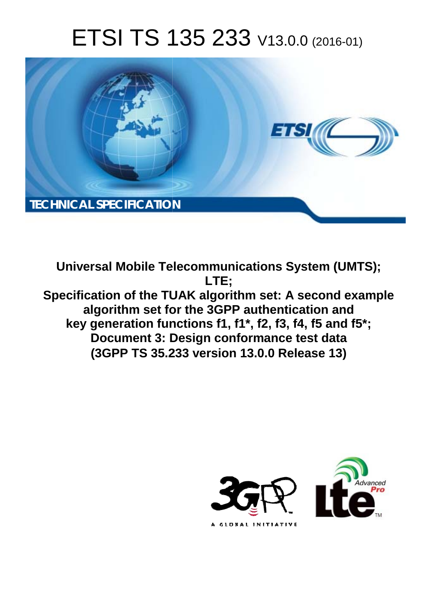# ETSI TS 135 233 V13.0.0 (2016-01)



**Universal Mobile Tel elecommunications System ( (UMTS);** Specification of the TUAK algorithm set: A second example **algorithm set fo for the 3GPP authentication a and key generation fun unctions f1, f1\*, f2, f3, f4, f5 an and f5\*; Document 3: Design conformance test data (3GPP TS 35.2 .233 version 13.0.0 Release 13 13) LTE;** 

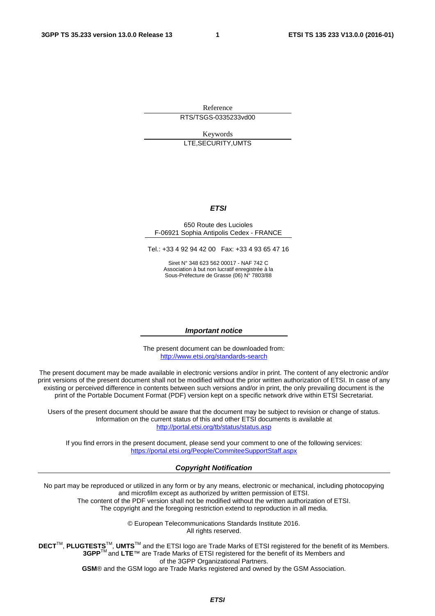Reference RTS/TSGS-0335233vd00

Keywords LTE,SECURITY,UMTS

### *ETSI*

### 650 Route des Lucioles F-06921 Sophia Antipolis Cedex - FRANCE

Tel.: +33 4 92 94 42 00 Fax: +33 4 93 65 47 16

Siret N° 348 623 562 00017 - NAF 742 C Association à but non lucratif enregistrée à la Sous-Préfecture de Grasse (06) N° 7803/88

### *Important notice*

The present document can be downloaded from: <http://www.etsi.org/standards-search>

The present document may be made available in electronic versions and/or in print. The content of any electronic and/or print versions of the present document shall not be modified without the prior written authorization of ETSI. In case of any existing or perceived difference in contents between such versions and/or in print, the only prevailing document is the print of the Portable Document Format (PDF) version kept on a specific network drive within ETSI Secretariat.

Users of the present document should be aware that the document may be subject to revision or change of status. Information on the current status of this and other ETSI documents is available at <http://portal.etsi.org/tb/status/status.asp>

If you find errors in the present document, please send your comment to one of the following services: <https://portal.etsi.org/People/CommiteeSupportStaff.aspx>

### *Copyright Notification*

No part may be reproduced or utilized in any form or by any means, electronic or mechanical, including photocopying and microfilm except as authorized by written permission of ETSI.

The content of the PDF version shall not be modified without the written authorization of ETSI. The copyright and the foregoing restriction extend to reproduction in all media.

> © European Telecommunications Standards Institute 2016. All rights reserved.

**DECT**TM, **PLUGTESTS**TM, **UMTS**TM and the ETSI logo are Trade Marks of ETSI registered for the benefit of its Members. **3GPP**TM and **LTE**™ are Trade Marks of ETSI registered for the benefit of its Members and of the 3GPP Organizational Partners.

**GSM**® and the GSM logo are Trade Marks registered and owned by the GSM Association.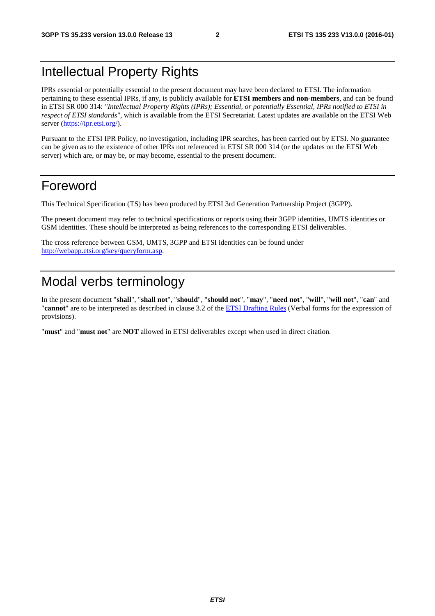## Intellectual Property Rights

IPRs essential or potentially essential to the present document may have been declared to ETSI. The information pertaining to these essential IPRs, if any, is publicly available for **ETSI members and non-members**, and can be found in ETSI SR 000 314: *"Intellectual Property Rights (IPRs); Essential, or potentially Essential, IPRs notified to ETSI in respect of ETSI standards"*, which is available from the ETSI Secretariat. Latest updates are available on the ETSI Web server [\(https://ipr.etsi.org/](https://ipr.etsi.org/)).

Pursuant to the ETSI IPR Policy, no investigation, including IPR searches, has been carried out by ETSI. No guarantee can be given as to the existence of other IPRs not referenced in ETSI SR 000 314 (or the updates on the ETSI Web server) which are, or may be, or may become, essential to the present document.

## Foreword

This Technical Specification (TS) has been produced by ETSI 3rd Generation Partnership Project (3GPP).

The present document may refer to technical specifications or reports using their 3GPP identities, UMTS identities or GSM identities. These should be interpreted as being references to the corresponding ETSI deliverables.

The cross reference between GSM, UMTS, 3GPP and ETSI identities can be found under [http://webapp.etsi.org/key/queryform.asp.](http://webapp.etsi.org/key/queryform.asp)

## Modal verbs terminology

In the present document "**shall**", "**shall not**", "**should**", "**should not**", "**may**", "**need not**", "**will**", "**will not**", "**can**" and "**cannot**" are to be interpreted as described in clause 3.2 of the [ETSI Drafting Rules](http://portal.etsi.org/Help/editHelp!/Howtostart/ETSIDraftingRules.aspx) (Verbal forms for the expression of provisions).

"**must**" and "**must not**" are **NOT** allowed in ETSI deliverables except when used in direct citation.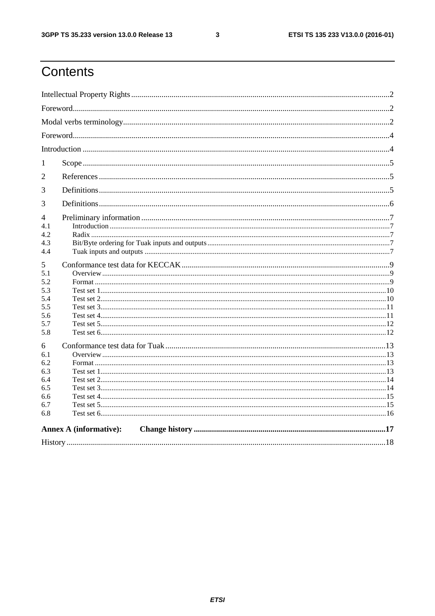$\mathbf{3}$ 

## Contents

| 1          |                        |  |
|------------|------------------------|--|
| 2          |                        |  |
| 3          |                        |  |
| 3          |                        |  |
| 4<br>4.1   |                        |  |
| 4.2<br>4.3 |                        |  |
| 4.4        |                        |  |
| 5          |                        |  |
| 5.1        |                        |  |
| 5.2<br>5.3 |                        |  |
| 5.4        |                        |  |
| 5.5        |                        |  |
| 5.6        |                        |  |
| 5.7        |                        |  |
| 5.8        |                        |  |
| 6          |                        |  |
| 6.1        |                        |  |
| 6.2        |                        |  |
| 6.3        |                        |  |
| 6.4<br>6.5 |                        |  |
| 6.6        |                        |  |
| 6.7        |                        |  |
| 6.8        |                        |  |
|            | Annex A (informative): |  |
|            |                        |  |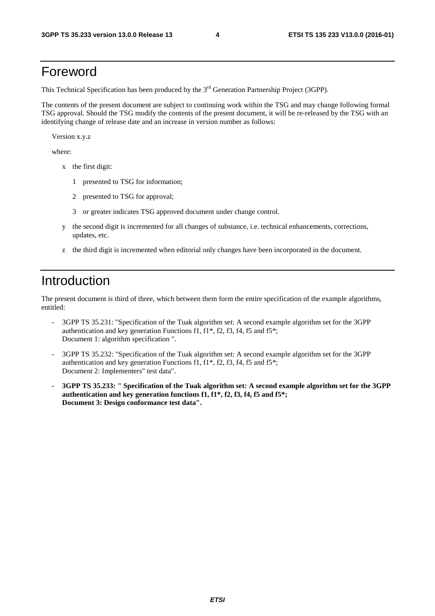## Foreword

This Technical Specification has been produced by the 3<sup>rd</sup> Generation Partnership Project (3GPP).

The contents of the present document are subject to continuing work within the TSG and may change following formal TSG approval. Should the TSG modify the contents of the present document, it will be re-released by the TSG with an identifying change of release date and an increase in version number as follows:

Version x.y.z

where:

- x the first digit:
	- 1 presented to TSG for information;
	- 2 presented to TSG for approval;
	- 3 or greater indicates TSG approved document under change control.
- y the second digit is incremented for all changes of substance, i.e. technical enhancements, corrections, updates, etc.
- z the third digit is incremented when editorial only changes have been incorporated in the document.

## Introduction

The present document is third of three, which between them form the entire specification of the example algorithms, entitled:

- 3GPP TS 35.231: "Specification of the Tuak algorithm set: A second example algorithm set for the 3GPP authentication and key generation Functions f1, f1\*, f2, f3, f4, f5 and f5\*; Document 1: algorithm specification ".
- 3GPP TS 35.232: "Specification of the Tuak algorithm set: A second example algorithm set for the 3GPP authentication and key generation Functions f1,  $f1^*$ ,  $f2$ ,  $f3$ ,  $f4$ ,  $f5$  and  $f5^*$ ; Document 2: Implementers" test data".
- **3GPP TS 35.233: " Specification of the Tuak algorithm set: A second example algorithm set for the 3GPP authentication and key generation functions f1, f1\*, f2, f3, f4, f5 and f5\*; Document 3: Design conformance test data".**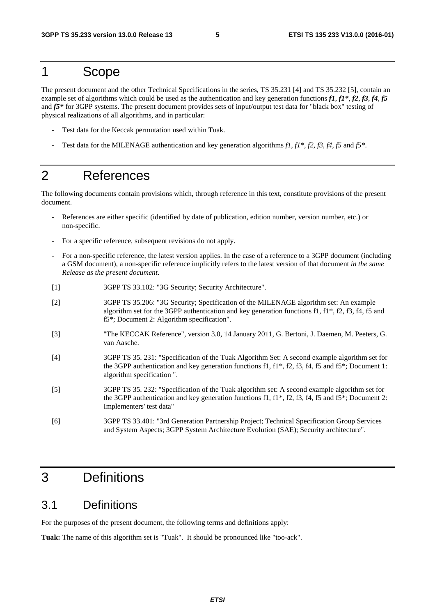## 1 Scope

The present document and the other Technical Specifications in the series, TS 35.231 [4] and TS 35.232 [5], contain an example set of algorithms which could be used as the authentication and key generation functions *f1*, *f1\**, *f2*, *f3*, *f4*, *f5* and *f5\** for 3GPP systems. The present document provides sets of input/output test data for "black box" testing of physical realizations of all algorithms, and in particular:

- Test data for the Keccak permutation used within Tuak.
- Test data for the MILENAGE authentication and key generation algorithms *f1, f1\*, f2, f3, f4, f5* and *f5\**.

## 2 References

The following documents contain provisions which, through reference in this text, constitute provisions of the present document.

- References are either specific (identified by date of publication, edition number, version number, etc.) or non-specific.
- For a specific reference, subsequent revisions do not apply.
- For a non-specific reference, the latest version applies. In the case of a reference to a 3GPP document (including a GSM document), a non-specific reference implicitly refers to the latest version of that document *in the same Release as the present document*.
- [1] 3GPP TS 33.102: "3G Security; Security Architecture".
- [2] 3GPP TS 35.206: "3G Security; Specification of the MILENAGE algorithm set: An example algorithm set for the 3GPP authentication and key generation functions f1,  $f1^*$ ,  $f2$ ,  $f3$ ,  $f4$ ,  $f5$  and f5\*; Document 2: Algorithm specification".
- [3] "The KECCAK Reference", version 3.0, 14 January 2011, G. Bertoni, J. Daemen, M. Peeters, G. van Aasche.
- [4] 3GPP TS 35. 231: "Specification of the Tuak Algorithm Set: A second example algorithm set for the 3GPP authentication and key generation functions f1, f1\*, f2, f3, f4, f5 and f5\*; Document 1: algorithm specification ".
- [5] 3GPP TS 35. 232: "Specification of the Tuak algorithm set: A second example algorithm set for the 3GPP authentication and key generation functions f1, f1\*, f2, f3, f4, f5 and f5\*; Document 2: Implementers' test data"
- [6] 3GPP TS 33.401: "3rd Generation Partnership Project; Technical Specification Group Services and System Aspects; 3GPP System Architecture Evolution (SAE); Security architecture".

## 3 Definitions

### 3.1 Definitions

For the purposes of the present document, the following terms and definitions apply:

**Tuak:** The name of this algorithm set is "Tuak". It should be pronounced like "too-ack".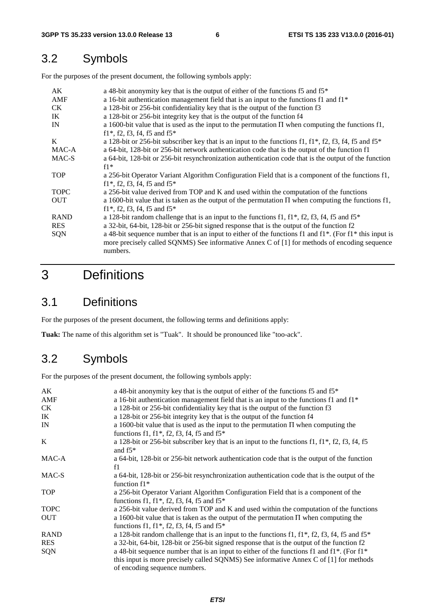## 3.2 Symbols

For the purposes of the present document, the following symbols apply:

| AK<br>AMF<br><b>CK</b><br>IK<br>IN | a 48-bit anonymity key that is the output of either of the functions f5 and $f5^*$<br>a 16-bit authentication management field that is an input to the functions f1 and f1 <sup>*</sup><br>a 128-bit or 256-bit confidentiality key that is the output of the function f3<br>a 128-bit or 256-bit integrity key that is the output of the function f4<br>a 1600-bit value that is used as the input to the permutation $\Pi$ when computing the functions f1, |
|------------------------------------|---------------------------------------------------------------------------------------------------------------------------------------------------------------------------------------------------------------------------------------------------------------------------------------------------------------------------------------------------------------------------------------------------------------------------------------------------------------|
|                                    | $f1^*$ , f2, f3, f4, f5 and f5 <sup>*</sup>                                                                                                                                                                                                                                                                                                                                                                                                                   |
| $\mathbf{K}$                       | a 128-bit or 256-bit subscriber key that is an input to the functions f1, f1*, f2, f3, f4, f5 and f5*                                                                                                                                                                                                                                                                                                                                                         |
| MAC-A                              | a 64-bit, 128-bit or 256-bit network authentication code that is the output of the function f1                                                                                                                                                                                                                                                                                                                                                                |
| MAC-S                              | a 64-bit, 128-bit or 256-bit resynchronization authentication code that is the output of the function<br>$f1*$                                                                                                                                                                                                                                                                                                                                                |
| <b>TOP</b>                         | a 256-bit Operator Variant Algorithm Configuration Field that is a component of the functions f1,<br>$f1^*$ , f2, f3, f4, f5 and f5 <sup>*</sup>                                                                                                                                                                                                                                                                                                              |
| <b>TOPC</b>                        | a 256-bit value derived from TOP and K and used within the computation of the functions                                                                                                                                                                                                                                                                                                                                                                       |
| <b>OUT</b>                         | a 1600-bit value that is taken as the output of the permutation $\Pi$ when computing the functions f1,<br>$f1^*$ , f2, f3, f4, f5 and f5 <sup>*</sup>                                                                                                                                                                                                                                                                                                         |
| <b>RAND</b>                        | a 128-bit random challenge that is an input to the functions f1, f1*, f2, f3, f4, f5 and f5*                                                                                                                                                                                                                                                                                                                                                                  |
| <b>RES</b>                         | a 32-bit, 64-bit, 128-bit or 256-bit signed response that is the output of the function f2                                                                                                                                                                                                                                                                                                                                                                    |
| SQN                                | a 48-bit sequence number that is an input to either of the functions f1 and $f1^*$ . (For $f1^*$ this input is                                                                                                                                                                                                                                                                                                                                                |
|                                    | more precisely called SQNMS) See informative Annex C of [1] for methods of encoding sequence<br>numbers.                                                                                                                                                                                                                                                                                                                                                      |

## 3 Definitions

## 3.1 Definitions

For the purposes of the present document, the following terms and definitions apply:

**Tuak:** The name of this algorithm set is "Tuak". It should be pronounced like "too-ack".

## 3.2 Symbols

For the purposes of the present document, the following symbols apply:

| AK          | a 48-bit anonymity key that is the output of either of the functions f5 and $5*$                                                                                                                                    |
|-------------|---------------------------------------------------------------------------------------------------------------------------------------------------------------------------------------------------------------------|
| AMF         | a 16-bit authentication management field that is an input to the functions f1 and $f1^*$                                                                                                                            |
| CK.         | a 128-bit or 256-bit confidentiality key that is the output of the function f3                                                                                                                                      |
| IK          | a 128-bit or 256-bit integrity key that is the output of the function f4                                                                                                                                            |
| IN          | a 1600-bit value that is used as the input to the permutation $\Pi$ when computing the<br>functions f1, f1*, f2, f3, f4, f5 and $f5$ *                                                                              |
| K           | a 128-bit or 256-bit subscriber key that is an input to the functions f1, f1*, f2, f3, f4, f5<br>and $f5*$                                                                                                          |
| MAC-A       | a 64-bit, 128-bit or 256-bit network authentication code that is the output of the function<br>f1                                                                                                                   |
| MAC-S       | a 64-bit, 128-bit or 256-bit resynchronization authentication code that is the output of the<br>function $f1*$                                                                                                      |
| <b>TOP</b>  | a 256-bit Operator Variant Algorithm Configuration Field that is a component of the<br>functions f1, f1*, f2, f3, f4, f5 and $f5$ *                                                                                 |
| <b>TOPC</b> | a 256-bit value derived from TOP and K and used within the computation of the functions                                                                                                                             |
| <b>OUT</b>  | a 1600-bit value that is taken as the output of the permutation $\Pi$ when computing the<br>functions f1, f1*, f2, f3, f4, f5 and $f5$ *                                                                            |
| <b>RAND</b> | a 128-bit random challenge that is an input to the functions f1, f1*, f2, f3, f4, f5 and f5*                                                                                                                        |
| <b>RES</b>  | a 32-bit, 64-bit, 128-bit or 256-bit signed response that is the output of the function f2                                                                                                                          |
| SQN         | a 48-bit sequence number that is an input to either of the functions f1 and f1*. (For f1*<br>this input is more precisely called SQNMS) See informative Annex C of [1] for methods<br>of encoding sequence numbers. |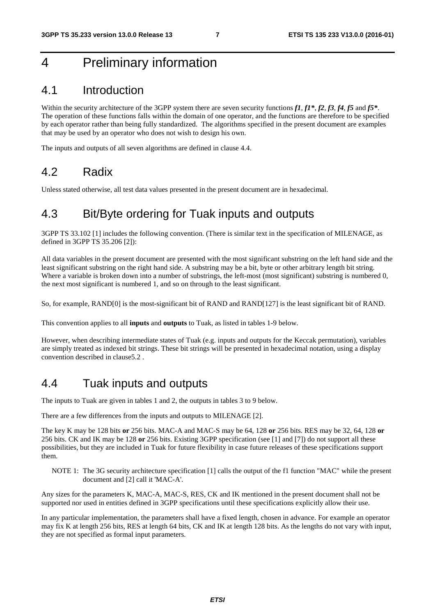## 4 Preliminary information

### 4.1 Introduction

Within the security architecture of the 3GPP system there are seven security functions *f1*, *f1\**, *f2*, *f3*, *f4*, *f5* and *f5\**. The operation of these functions falls within the domain of one operator, and the functions are therefore to be specified by each operator rather than being fully standardized. The algorithms specified in the present document are examples that may be used by an operator who does not wish to design his own.

The inputs and outputs of all seven algorithms are defined in clause 4.4.

## 4.2 Radix

Unless stated otherwise, all test data values presented in the present document are in hexadecimal.

## 4.3 Bit/Byte ordering for Tuak inputs and outputs

3GPP TS 33.102 [1] includes the following convention. (There is similar text in the specification of MILENAGE, as defined in 3GPP TS 35.206 [2]):

All data variables in the present document are presented with the most significant substring on the left hand side and the least significant substring on the right hand side. A substring may be a bit, byte or other arbitrary length bit string. Where a variable is broken down into a number of substrings, the left-most (most significant) substring is numbered 0, the next most significant is numbered 1, and so on through to the least significant.

So, for example, RAND[0] is the most-significant bit of RAND and RAND[127] is the least significant bit of RAND.

This convention applies to all **inputs** and **outputs** to Tuak, as listed in tables 1-9 below.

However, when describing intermediate states of Tuak (e.g. inputs and outputs for the Keccak permutation), variables are simply treated as indexed bit strings. These bit strings will be presented in hexadecimal notation, using a display convention described in clause5.2 .

## 4.4 Tuak inputs and outputs

The inputs to Tuak are given in tables 1 and 2, the outputs in tables 3 to 9 below.

There are a few differences from the inputs and outputs to MILENAGE [2].

The key K may be 128 bits **or** 256 bits. MAC-A and MAC-S may be 64, 128 **or** 256 bits. RES may be 32, 64, 128 **or** 256 bits. CK and IK may be 128 **or** 256 bits. Existing 3GPP specification (see [1] and [7]) do not support all these possibilities, but they are included in Tuak for future flexibility in case future releases of these specifications support them.

NOTE 1: The 3G security architecture specification [1] calls the output of the f1 function "MAC" while the present document and [2] call it 'MAC-A'.

Any sizes for the parameters K, MAC-A, MAC-S, RES, CK and IK mentioned in the present document shall not be supported nor used in entities defined in 3GPP specifications until these specifications explicitly allow their use.

In any particular implementation, the parameters shall have a fixed length, chosen in advance. For example an operator may fix K at length 256 bits, RES at length 64 bits, CK and IK at length 128 bits. As the lengths do not vary with input, they are not specified as formal input parameters.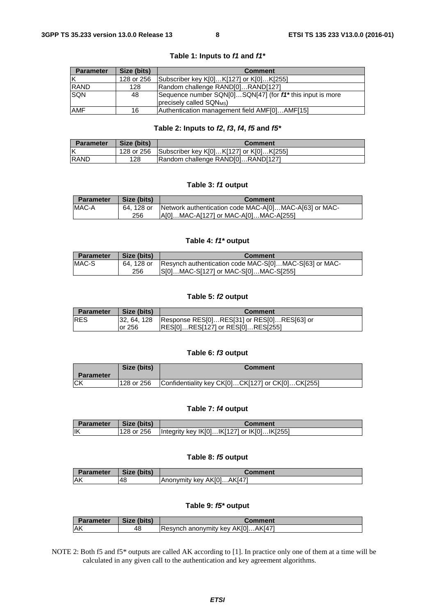| <b>Parameter</b> | Size (bits) | <b>Comment</b>                                                        |
|------------------|-------------|-----------------------------------------------------------------------|
|                  | 128 or 256  | Subscriber key K[0]K[127] or K[0]K[255]                               |
| <b>RAND</b>      | 128         | Random challenge RAND[0]RAND[127]                                     |
| <b>SON</b>       | 48          | Sequence number SQN[0]SQN[47] (for f1 <sup>*</sup> this input is more |
|                  |             | precisely called SQN <sub>MS</sub> )                                  |
| <b>AMF</b>       | 16          | Authentication management field AMF[0]AMF[15]                         |

### **Table 1: Inputs to** *f1* **and** *f1\**

### **Table 2: Inputs to** *f2***,** *f3***,** *f4***,** *f5* **and** *f5\**

| <b>Parameter</b> | Size (bits) | <b>Comment</b>                                     |
|------------------|-------------|----------------------------------------------------|
| ΙK               |             | 128 or 256 Subscriber key K[0]K[127] or K[0]K[255] |
| <b>IRAND</b>     | 128         | Random challenge RAND[0]RAND[127]                  |

### **Table 3:** *f1* **output**

| <b>Parameter</b> | Size (bits) | <b>Comment</b>                                        |
|------------------|-------------|-------------------------------------------------------|
| MAC-A            | 64. 128 or  | Network authentication code MAC-A[0]MAC-A[63] or MAC- |
|                  | 256         | A[0]MAC-A[127] or MAC-A[0]MAC-A[255]                  |

### **Table 4:** *f1\** **output**

| <b>Parameter</b> | Size (bits) | Comment                                               |
|------------------|-------------|-------------------------------------------------------|
| MAC-S            | 64. 128 or  | Resynch authentication code MAC-S[0]MAC-S[63] or MAC- |
|                  | 256         | ST01MAC-ST1271 or MAC-ST01MAC-ST2551                  |

### **Table 5:** *f2* **output**

| <b>Parameter</b> | Size (bits) | <b>Comment</b>                             |
|------------------|-------------|--------------------------------------------|
| <b>IRES</b>      | l32.64.128  | Response RES[0]RES[31] or RES[0]RES[63] or |
|                  | lor 256     | RES[0]RES[127] or RES[0]RES[255]           |

### **Table 6:** *f3* **output**

|                  | Size (bits) | Comment                                          |
|------------------|-------------|--------------------------------------------------|
| <b>Parameter</b> |             |                                                  |
| ICK              | l128 or 256 | Confidentiality key CK[0]CK[127] or CK[0]CK[255] |

### **Table 7:** *f4* **output**

| <b>Parameter</b> | Size (bits) | Comment                                    |
|------------------|-------------|--------------------------------------------|
| lικ              | 128 or 256  | Integrity key IK[0]IK[127] or IK[0]IK[255] |

### **Table 8:** *f5* **output**

| <b>Parameter</b> | Size (bits) | Comment                        |
|------------------|-------------|--------------------------------|
| <b>AK</b>        | 48          | .AKI47<br>IAnonymity key AK[0] |

### **Table 9:** *f5\** **output**

| <b>Parameter</b> | Size (bits) | Comment                                             |  |
|------------------|-------------|-----------------------------------------------------|--|
| AK               | 4c          | AK[47 <sup>-</sup><br>IResynch anonymity key AKI01. |  |

NOTE 2: Both f5 and f5\* outputs are called AK according to [1]. In practice only one of them at a time will be calculated in any given call to the authentication and key agreement algorithms.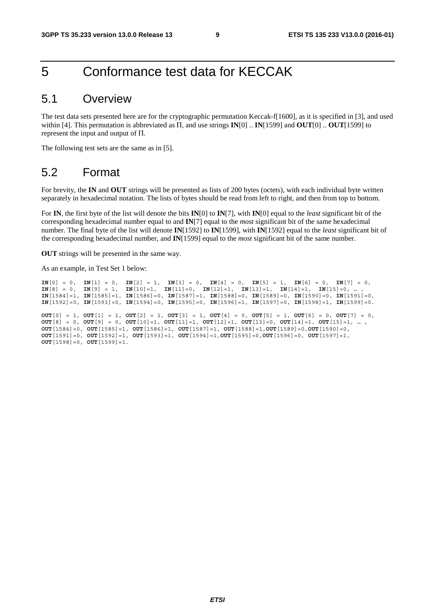## 5 Conformance test data for KECCAK

## 5.1 Overview

The test data sets presented here are for the cryptographic permutation Keccak-f[1600], as it is specified in [3], and used within [4]. This permutation is abbreviated as Π, and use strings **IN**[0] .. **IN**[1599] and **OUT**[0] .. **OUT**[1599] to represent the input and output of Π.

The following test sets are the same as in [5].

## 5.2 Format

For brevity, the **IN** and **OUT** strings will be presented as lists of 200 bytes (octets), with each individual byte written separately in hexadecimal notation. The lists of bytes should be read from left to right, and then from top to bottom.

For **IN**, the first byte of the list will denote the bits **IN**[0] to **IN**[7], with **IN**[0] equal to the *least* significant bit of the corresponding hexadecimal number equal to and **IN**[7] equal to the *most* significant bit of the same hexadecimal number. The final byte of the list will denote **IN**[1592] to **IN**[1599], with **IN**[1592] equal to the *least* significant bit of the corresponding hexadecimal number, and **IN**[1599] equal to the *most* significant bit of the same number.

**OUT** strings will be presented in the same way.

As an example, in Test Set 1 below:

**IN**[0] = 0, **IN**[1] = 0, **IN**[2] = 1, **IN**[3] = 0, **IN**[4] = 0, **IN**[5] = 1, **IN**[6] = 0, **IN**[7] = 0, **IN**[8] = 0, **IN**[9] = 1, **IN**[10]=1, **IN**[11]=0, **IN**[12]=1, **IN**[13]=1, **IN**[14]=1, **IN**[15]=0, …, **IN**[1584]=1, **IN**[1585]=1, **IN**[1586]=0, **IN**[1587]=1, **IN**[1588]=0, **IN**[1589]=0, **IN**[1590]=0, **IN**[1591]=0, **IN**[1592]=0, **IN**[1593]=0, **IN**[1594]=0, **IN**[1595]=0, **IN**[1596]=1, **IN**[1597]=0, **IN**[1598]=1, **IN**[1599]=0. **OUT**[0] = 1, **OUT**[1] = 1, **OUT**[2] = 1, **OUT**[3] = 1, **OUT**[4] = 0, **OUT**[5] = 1, **OUT**[6] = 0, **OUT**[7] = 0, **OUT**[8] = 0, **OUT**[9] = 0, **OUT**[10]=1, **OUT**[11]=1, **OUT**[12]=1, **OUT**[13]=0, **OUT**[14]=1, **OUT**[15]=1, … , **OUT**[1584]=0, **OUT**[1585]=1, **OUT**[1586]=1, **OUT**[1587]=1, **OUT**[1588]=1,**OUT**[1589]=0,**OUT**[1590]=0, **OUT**[1591]=0, **OUT**[1592]=1, **OUT**[1593]=1, **OUT**[1594]=1,**OUT**[1595]=0,**OUT**[1596]=0, **OUT**[1597]=1, **OUT**[1598]=0, **OUT**[1599]=1.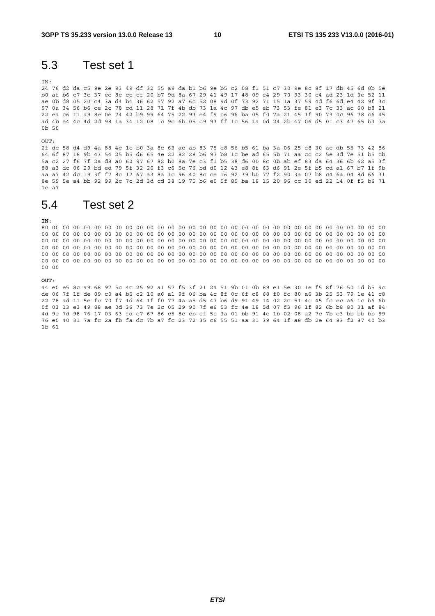$10$ 

#### $5.3$ Test set 1

TN.

24 76 d2 da c5 9e 2e 93 49 df 32 55 a9 da b1 b6 9e b5 c2 08 f1 51 c7 30 9e 8c 8f 17 db 45 6d 0b 5e b0 af b6 c7 3e 37 ce 8c cc cf 20 b7 9d 8a 67 29 41 49 17 48 09 e4 29 70 93 30 c4 ad 23 1d 3e 52 11 ae 0b d8 05 20 c4 3a d4 b4 36 62 57 92 a7 6c 52 08 9d 0f 73 92 71 15 1a 37 59 4d f6 6d e4 42 9f 3c 97 0a 34 56 b6 ce 2c 78 cd 11 28 71 7f 4b db 73 1a 4c 97 db e5 eb 73 53 fe 81 e3 7c 33 ac 60 b8 21 22 ea c6 11 a9 8e 0e 74 42 b9 99 64 75 22 93 e4 f9 c6 96 ba 05 f0 7a 21 45 1f 90 73 0c 96 78 c6 45 ad 4b e4 4c 4d 2d 98 1a 34 12 08 1c 9c 6b 05 c9 93 ff 1c 56 1a 0d 24 2b 47 06 d5 01 c3 47 65 b3 7a  $0<sup>h</sup>50$ 

OUT:

2f dc 58 d4 d9 4a 88 4c 1c b0 3a 8e 63 ac ab 83 75 e8 56 b5 61 ba 3a 06 25 e8 30 ac db 55 73 42 86 64 6f 87 18 9b 43 54 25 b5 d6 65 4e 22 82 28 b6 97 b8 1c be ad 65 5b 71 aa cc c2 5e 3d 7e 51 b5 cb 5a c2 27 f6 7f 2a d8 a0 62 97 67 82 b0 8a 7e c3 f1 b5 38 d6 00 8c 0b ab ef 83 da 64 36 6b 62 a5 3f 88 a3 dc 06 29 bd ed 79 5f 32 20 f3 c6 5c 76 bd d0 12 43 e8 8f 63 d6 91 2e 5f b5 cd a1 67 b7 1f 9b aa a7 42 dc 19 3f f7 8c 17 67 a3 8a 1c 96 40 8c ce 16 92 39 b0 77 f2 90 3a 07 b8 c4 6a 04 8d 66 31 8e 59 5e a4 bb 92 99 2c 7c 2d 3d cd 38 19 75 b6 e0 5f 85 ba 18 15 20 96 cc 30 ed 22 14 0f f3 b6 71  $1e \overline{a}$ 

#### $5.4$ Test set 2

TN.

 $0000$ 

 $O$ TTT $\cdot$ 

44 e0 e5 8c a9 68 97 5c 4c 25 92 a1 57 f5 3f 21 24 51 9b 01 0b 89 e1 5e 30 1e f5 8f 76 50 1d b5 9c de 06 7f 1f de 09 c0 a4 b5 c2 10 a6 a1 9f 06 ba 4c 8f 0c 6f c8 68 f0 fc 80 a6 3b 25 53 79 1e 41 c8 22 78 ad 11 5e fc 70 f7 1d 64 1f f0 77 4a a5 d5 47 b6 d9 91 49 14 02 2c 51 4c 45 fc ec a6 1c b6 6b 0f 03 13 e3 49 88 ae 0d 36 73 7e 2c 05 29 90 7f e6 53 fc 4e 18 5d 07 f3 96 1f 82 6b b8 80 31 af 84 4d 9e 7d 98 76 17 03 63 fd e7 67 86 c5 8c cb cf 5c 3a 01 bb 91 4c 1b 02 08 a2 7c 7b e3 bb bb bb 99 76 e0 40 31 7a fc 2a fb fa dc 7b a7 fc 23 72 35 c6 55 51 aa 31 39 64 1f a8 db 2e 64 83 f2 87 40 b3 1b 61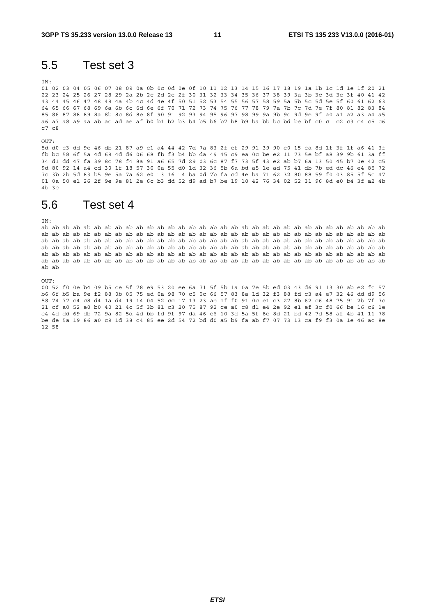$11$ 

#### $5.5$ Test set 3

TN.

01 02 03 04 05 06 07 08 09 0a 0b 0c 0d 0e 0f 10 11 12 13 14 15 16 17 18 19 1a 1b 1c 1d 1e 1f 20 21 22 23 24 25 26 27 28 29 2a 2b 2c 2d 2e 2f 30 31 32 33 34 35 36 37 38 39 3a 3b 3c 3d 3e 3f 40 41 42 43 44 45 46 47 48 49 4a 4b 4c 4d 4e 4f 50 51 52 53 54 55 56 57 58 59 5a 5b 5c 5d 5e 5f 60 61 62 63 64 65 66 67 68 69 6a 6b 6c 6d 6e 6f 70 71 72 73 74 75 76 77 78 79 7a 7b 7c 7d 7e 7f 80 81 82 83 84 85 86 87 88 89 8a 8b 8c 8d 8e 8f 90 91 92 93 94 95 96 97 98 99 9a 9b 9c 9d 9e 9f a0 a1 a2 a3 a4 a5 a6 a7 a8 a9 aa ab ac ad ae af b0 b1 b2 b3 b4 b5 b6 b7 b8 b9 ba bb bc bd be bf c0 c1 c2 c3 c4 c5 c6  $C7C8$ 

OUT:

5d d0 e3 dd 9e 46 db 21 87 a9 e1 a4 44 42 7d 7a 83 2f ef 29 91 39 90 e0 15 ea 8d 1f 3f 1f a6 41 3f fb bc 58 6f 5a 4d 69 4d d6 06 68 fb f3 b4 bb da 49 45 c9 ea 0c be e2 11 73 5e bf a8 39 9b 61 3a ff 34 d1 dd 47 fa 39 8c 78 f4 8a 91 a6 65 7d 29 03 6c 87 f7 73 5f 43 e2 ab b7 6a 13 50 45 b7 0e 42 c5 9d 80 92 14 a4 cd 30 1f 18 57 30 0a 55 d0 1d 32 36 5b 6a bd a5 1e ad 75 41 db 7b ed dc 46 e4 85 72 7c 3b 2b 5d 83 b5 9e 5a 7a 62 e0 13 16 14 ba 0d 7b fa cd 4e ba 71 62 32 80 88 59 f0 03 85 5f 5c 47 01 0a 50 e1 26 2f 9e 9e 81 2e 6c b3 dd 52 d9 ad b7 be 19 10 42 76 34 02 52 31 96 8d e0 b4 3f a2 4b  $4h$   $3e$ 

#### Test set 4  $5.6$

TN.

 $ab$ ah

 $\bigcap$ TTT  $\cdot$ 

00 52 f0 0e b4 09 b5 ce 5f 78 e9 53 20 ee 6a 71 5f 5b 1a 0a 7e 5b ed 03 43 d6 91 13 30 ab e2 fc 57 b6 6f b5 ba 9e f2 88 0b 05 75 ed 0a 98 70 c5 0c 66 57 83 8a 1d 32 f3 88 fd c3 a4 e7 32 46 dd d9 56 58 74 77 c4 c8 d4 1a d4 19 14 04 52 cc 17 13 23 ae 1f f0 91 0c e1 c3 27 8b 62 c6 48 75 91 2b 7f 7c 21 cf a0 52 e0 b0 40 21 4c 5f 3b 81 c3 20 75 87 92 ce a0 c8 d1 e4 2e 92 e1 ef 3c f0 66 be 16 c6 1e e4 4d dd 69 db 72 9a 82 5d 4d bb fd 9f 97 da 46 c6 10 3d 5a 5f 8c 8d 21 bd 42 7d 58 af 4b 41 11 78 be de 5a 19 86 a0 c9 1d 38 c4 85 ee 2d 54 72 bd d0 a5 b9 fa ab f7 07 73 13 ca f9 f3 0a 1e 46 ac 8e 12 58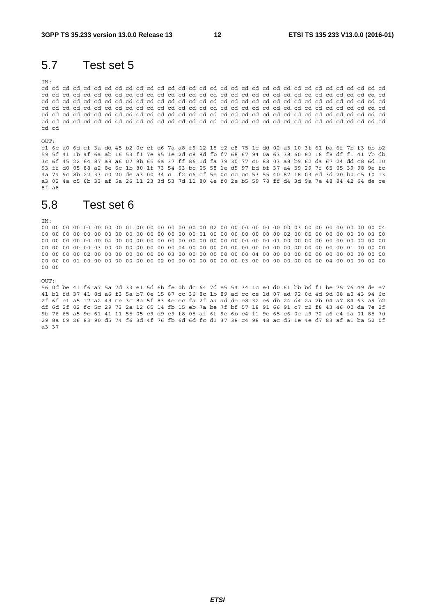### 5.7 Test set 5

IN:

cd cd cd cd cd cd cd cd cd cd cd cd cd cd cd cd cd cd cd cd cd cd cd cd cd cd cd cd cd cd cd cd cd cd cd cd cd cd cd cd cd cd cd cd cd cd cd cd cd cd cd cd cd cd cd cd cd cd cd cd cd cd cd cd cd cd cd cd cd cd cd cd cd cd cd cd cd cd cd cd cd cd cd cd cd cd cd cd cd cd cd cd cd cd cd cd cd cd cd cd cd cd cd cd cd cd cd cd cd cd cd cd cd cd cd cd cd cd cd cd cd cd cd cd cd cd cd cd cd cd cd cd cd cd cd cd cd cd cd cd cd cd cd cd cd cd cd cd cd cd cd cd cd cd cd cd cd cd cd cd cd cd cd cd cd cd cd cd cd cd cd cd cd cd cd cd cd cd cd cd cd cd cd cd cd cd cd cd cd cd cd cd cd cd cd cd cd cd cd cd

OUT:

c1 6c a0 6d ef 3a dd 45 b2 0c cf d6 7a a8 f9 12 15 c2 e8 75 1e dd 02 a5 10 3f 61 ba 6f 7b f3 bb b2 59 5f 41 1b af 6a ab 16 53 f1 7e 95 1e 2d c8 8d fb f7 68 67 94 0a 63 38 60 82 18 f8 df f1 41 7b db 3c 6f 45 22 64 87 a9 a6 07 8b 65 6a 37 ff 86 1d fa 79 30 77 c0 88 03 a8 b9 62 da 67 24 dd c8 6d 10 93 ff d0 05 88 a2 8e 6c 1b 80 1f 73 54 63 bc 05 58 1e d5 97 bd bf 37 a4 59 29 7f 65 05 39 98 9e fc 4a 7a 9c 8b 22 33 c0 20 de a3 00 34 c1 f2 c6 cf 5e 0c cc cc 53 55 40 87 18 03 ed 3d 20 b0 c5 10 13 a3 02 4a c5 6b 33 af 5a 26 11 23 3d 53 7d 11 80 4e f0 2e b5 59 78 ff d4 3d 9a 7e 48 84 42 64 de ce 8f a8

### 5.8 Test set 6

IN:

00 00 00 00 00 00 00 00 01 00 00 00 00 00 00 00 02 00 00 00 00 00 00 00 03 00 00 00 00 00 00 00 04 00 00 00 00 00 00 00 00 00 00 00 00 00 00 00 01 00 00 00 00 00 00 00 02 00 00 00 00 00 00 00 03 00 00 00 00 00 00 00 04 00 00 00 00 00 00 00 00 00 00 00 00 00 00 00 01 00 00 00 00 00 00 00 02 00 00 00 00 00 00 00 03 00 00 00 00 00 00 00 04 00 00 00 00 00 00 00 00 00 00 00 00 00 00 00 01 00 00 00 00 00 00 00 02 00 00 00 00 00 00 00 03 00 00 00 00 00 00 00 04 00 00 00 00 00 00 00 00 00 00 00 00 00 00 00 01 00 00 00 00 00 00 00 02 00 00 00 00 00 00 00 03 00 00 00 00 00 00 00 04 00 00 00 00 00 00 00

 $\cap$ TTT  $\cdot$ 

56 0d be 41 f6 a7 5a 7d 33 e1 5d 6b fe 0b dc 64 7d e5 54 34 1c e0 d0 61 bb bd f1 be 75 76 49 de e7 41 b1 fd 37 41 8d a6 f3 5a b7 0e 15 87 cc 36 8c 1b 89 ad cc ce 1d 07 ad 92 0d 4d 9d 08 a0 43 94 6c 2f 6f e1 a5 17 a2 49 ce 3c 8a 5f 83 4e ec fa 2f aa ad de e8 32 e6 db 24 d4 2a 2b 04 a7 84 63 a9 b2 df 6d 2f 02 fc 5c 29 73 2a 12 65 14 fb 15 eb 7a be 7f bf 57 18 91 66 91 c7 c2 f8 43 46 00 da 7e 2f 9b 76 65 a5 9c 61 41 11 55 05 c9 d9 e9 f8 05 af 6f 9e 6b c4 f1 9c 65 c6 0e a9 72 a6 e4 fa 01 85 7d 29 8a 09 26 83 90 d5 74 f6 3d 4f 76 fb 6d 6d fc d1 37 38 c4 98 48 ac d5 1e 4e d7 83 af a1 ba 52 0f a3 37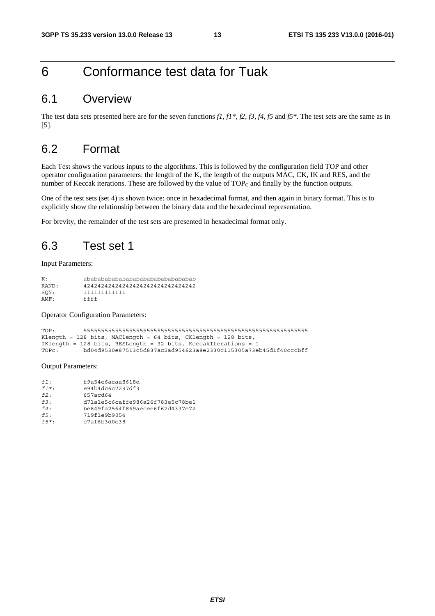## 6 Conformance test data for Tuak

## 6.1 Overview

The test data sets presented here are for the seven functions *f1, f1\*, f2, f3, f4, f5* and *f5\**. The test sets are the same as in [5].

## 6.2 Format

Each Test shows the various inputs to the algorithms. This is followed by the configuration field TOP and other operator configuration parameters: the length of the K, the length of the outputs MAC, CK, IK and RES, and the number of Keccak iterations. These are followed by the value of  $TOP_C$  and finally by the function outputs.

One of the test sets (set 4) is shown twice: once in hexadecimal format, and then again in binary format. This is to explicitly show the relationship between the binary data and the hexadecimal representation.

For brevity, the remainder of the test sets are presented in hexadecimal format only.

## 6.3 Test set 1

Input Parameters:

| K:    | ababababababababababababababab   |
|-------|----------------------------------|
| RAND: | 42424242424242424242424242424242 |
| SON:  | 111111111111                     |
| AMF:  | ffff                             |

Operator Configuration Parameters:

TOP: 5555555555555555555555555555555555555555555555555555555555555555 Klength = 128 bits, MAClength = 64 bits, CKlength = 128 bits, IKlength = 128 bits, RESLength = 32 bits, KeccakIterations = 1 TOPc: bd04d9530e87513c5d837ac2ad954623a8e2330c115305a73eb45d1f40cccbff

Output Parameters:

| $f1$ : | f9a54e6aeaa8618d                 |
|--------|----------------------------------|
| $f1*$  | e94b4dc6c7297df3                 |
| f2:    | 657acd64                         |
| f3:    | d71a1e5c6caffe986a26f783e5c78be1 |
| f4:    | be849fa2564f869aecee6f62d4337e72 |
| f5:    | 719f1e9b9054                     |
| $f5*$  | e7af6b3d0e38                     |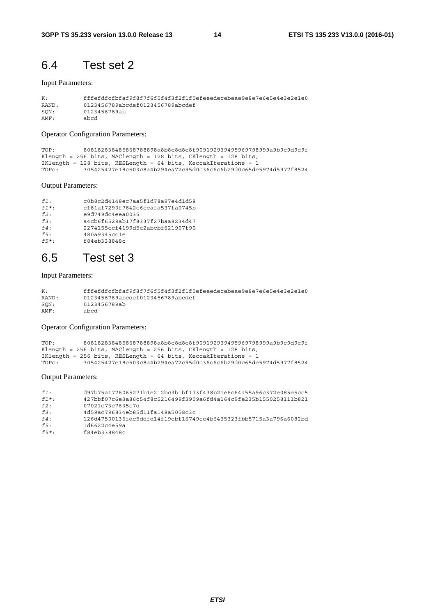## 6.4 Test set 2

### Input Parameters:

```
K: fffefdfcfbfaf9f8f7f6f5f4f3f2f1f0efeeedecebeae9e8e7e6e5e4e3e2e1e0 
RAND: 0123456789abcdef0123456789abcdef 
SQN: 0123456789ab 
AMF: abcd
```
### Operator Configuration Parameters:

TOP: 808182838485868788898a8b8c8d8e8f909192939495969798999a9b9c9d9e9f Klength = 256 bits, MAClength = 128 bits, CKlength = 128 bits, IKlength = 128 bits, RESLength = 64 bits, KeccakIterations = 1 TOPc: 305425427e18c503c8a4b294ea72c95d0c36c6c6b29d0c65de5974d5977f8524

Output Parameters:

| $f1$ : | c0b8c2d4148ec7aa5f1d78a97e4d1d58 |
|--------|----------------------------------|
| $f1*$  | ef81af7290f7842c6ceafa537fa0745b |
| f2:    | e9d749dc4eea0035                 |
| f3:    | a4cb6f6529ab17f8337f27baa8234d47 |
| f4:    | 2274155ccf4199d5e2abcbf621907f90 |
| f5:    | 480a9345cc1e                     |
| $f5*$  | f84eb338848c                     |

## 6.5 Test set 3

### Input Parameters:

K: fffefdfcfbfaf9f8f7f6f5f4f3f2f1f0efeeedecebeae9e8e7e6e5e4e3e2e1e0<br>RAND: 0123456789abcdef0123456789abcdef RAND: 0123456789abcdef0123456789abcdef<br>SON: 0123456789ab SQN: 0123456789ab<br>
MF: abcd AMF: abcd

### Operator Configuration Parameters:

```
TOP: 808182838485868788898a8b8c8d8e8f909192939495969798999a9b9c9d9e9f 
Klength = 256 bits, MAClength = 256 bits, CKlength = 128 bits, 
IKlength = 256 bits, RESLength = 64 bits, KeccakIterations = 1 
TOPc: 305425427e18c503c8a4b294ea72c95d0c36c6c6b29d0c65de5974d5977f8524
```
### Output Parameters:

| $f1$ :  | d97b75a1776065271b1e212bc3b1bf173f438b21e6c64a55a96c372e085e5cc5 |
|---------|------------------------------------------------------------------|
| $f1*$   | 427bbf07c6e3a86c54f8c5216499f3909a6fd4a164c9fe235b1550258111b821 |
| f2:     | 07021c73e7635c7d                                                 |
| f3:     | 4d59ac796834eb85d11fa148a5058c3c                                 |
| f4:     | 126d47500136fdc5ddfd14f19ebf16749ce4b6435323fbb5715a3a796a6082bd |
| f5:     | 1d6622c4e59a                                                     |
| $f5*$ : | f84eb338848c                                                     |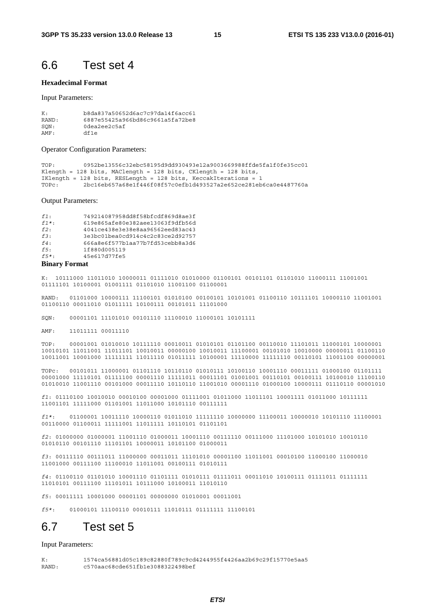### 6.6 Test set 4

### **Hexadecimal Format**

Input Parameters:

K: b8da837a50652d6ac7c97da14f6acc61 RAND: 6887e55425a966bd86c9661a5fa72be8 SQN: 0dea2ee2c5af<br>AMF: df1e df1e

Operator Configuration Parameters:

TOP: 0952be13556c32ebc58195d9dd930493e12a9003669988ffde5fa1f0fe35cc01 Klength = 128 bits, MAClength = 128 bits, CKlength = 128 bits, IKlength = 128 bits, RESLength = 128 bits, KeccakIterations = 1 TOPc: 2bc16eb657a68e1f446f08f57c0efb1d493527a2e652ce281eb6ca0e4487760a

Output Parameters:

| $f1$ : | 749214087958dd8f58bfcdf869d8ae3f |
|--------|----------------------------------|
| $f1*$  | 619e865afe80e382aee13063f9dfb56d |
| f2:    | 4041ce438e3e38e8aa96562eed83ac43 |
| f3:    | 3e3bc01bea0cd914c4c2c83ce2d92757 |
| f4:    | 666a8e6f577b1aa77b7fd53cebb8a3d6 |
| f5:    | 1f880d005119                     |
| $f5*$  | 45e617d77fe5                     |
|        |                                  |

### **Binary Format**

K: 10111000 11011010 10000011 01111010 01010000 01100101 00101101 01101010 11000111 11001001 01111101 10100001 01001111 01101010 11001100 01100001

RAND: 01101000 10000111 11100101 01010100 00100101 10101001 01100110 10111101 10000110 11001001 01100110 00011010 01011111 10100111 00101011 11101000

SQN: 00001101 11101010 00101110 11100010 11000101 10101111

AMF: 11011111 00011110

TOP: 00001001 01010010 10111110 00010011 01010101 01101100 00110010 11101011 11000101 10000001 10010101 11011001 11011101 10010011 00000100 10010011 11100001 00101010 10010000 00000011 01100110 10011001 10001000 11111111 11011110 01011111 10100001 11110000 11111110 00110101 11001100 00000001

TOPc: 00101011 11000001 01101110 10110110 01010111 10100110 10001110 00011111 01000100 01101111 00001000 11110101 01111100 00001110 11111011 00011101 01001001 00110101 00100111 10100010 11100110 01010010 11001110 00101000 00011110 10110110 11001010 00001110 01000100 10000111 01110110 00001010

*f1*: 01110100 10010010 00010100 00001000 01111001 01011000 11011101 10001111 01011000 10111111 11001101 11111000 01101001 11011000 10101110 00111111

*f1\**: 01100001 10011110 10000110 01011010 11111110 10000000 11100011 10000010 10101110 11100001 00110000 01100011 11111001 11011111 10110101 01101101

*f2*: 01000000 01000001 11001110 01000011 10001110 00111110 00111000 11101000 10101010 10010110 01010110 00101110 11101101 10000011 10101100 01000011

*f3*: 00111110 00111011 11000000 00011011 11101010 00001100 11011001 00010100 11000100 11000010 11001000 00111100 11100010 11011001 00100111 01010111

*f4*: 01100110 01101010 10001110 01101111 01010111 01111011 00011010 10100111 01111011 01111111 11010101 00111100 11101011 10111000 10100011 11010110

*f5*: 00011111 10001000 00001101 00000000 01010001 00011001

*f5\**: 01000101 11100110 00010111 11010111 01111111 11100101

## 6.7 Test set 5

Input Parameters:

K: 1574ca56881d05c189c82880f789c9cd4244955f4426aa2b69c29f15770e5aa5<br>RAND: c570aac68cde651fb1e3088322498bef RAND: c570aac68cde651fb1e3088322498bef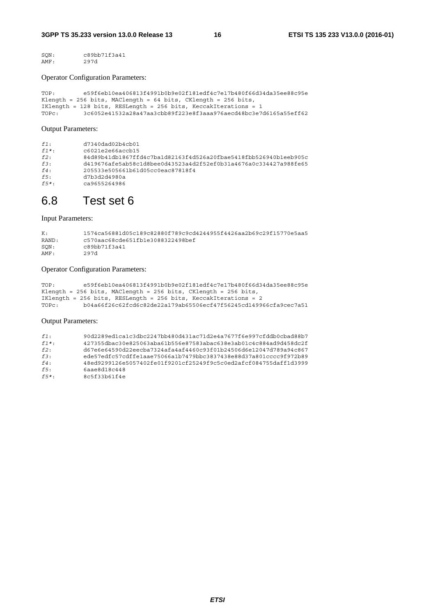SQN: c89bb71f3a41<br>AMF: 297d AMF: 297d

### Operator Configuration Parameters:

TOP: e59f6eb10ea406813f4991b0b9e02f181edf4c7e17b480f66d34da35ee88c95e Klength = 256 bits, MAClength = 64 bits, CKlength = 256 bits, IKlength = 128 bits, RESLength = 256 bits, KeccakIterations = 1 TOPc: 3c6052e41532a28a47aa3cbb89f223e8f3aaa976aecd48bc3e7d6165a55eff62

### Output Parameters:

| $f1$ : | d7340dad02b4cb01                                                 |
|--------|------------------------------------------------------------------|
| $f1*$  | c6021e2e66accb15                                                 |
| f2:    | 84d89b41db1867ffd4c7ba1d82163f4d526a20fbae5418fbb526940b1eeb905c |
| f3:    | d419676afe5ab58c1d8bee0d43523a4d2f52ef0b31a4676a0c334427a988fe65 |
| f4:    | 205533e505661b61d05cc0eac87818f4                                 |
| f5:    | d7b3d2d4980a                                                     |
| $f5*$  | Ca9655264986                                                     |

## 6.8 Test set 6

### Input Parameters:

| K:    | 1574ca56881d05c189c82880f789c9cd4244955f4426aa2b69c29f15770e5aa5 |
|-------|------------------------------------------------------------------|
| RAND: | c570aac68cde651fb1e3088322498bef                                 |
| SON:  | c89bb71f3a41                                                     |
| AMF:  | 2978                                                             |

### Operator Configuration Parameters:

| TOP:  | e59f6eb10ea406813f4991b0b9e02f181edf4c7e17b480f66d34da35ee88c95e      |
|-------|-----------------------------------------------------------------------|
|       | Klength = 256 bits, MAClength = 256 bits, CKlength = 256 bits,        |
|       | IKlength = $256$ bits, RESLength = $256$ bits, KeccakIterations = $2$ |
| TOPC: | b04a66f26c62fcd6c82de22a179ab65506ecf47f56245cd149966cfa9cec7a51      |

### Output Parameters:

| $f1$ : | 90d2289ed1ca1c3dbc2247bb480d431ac71d2e4a7677f6e997cfddb0cbad88b7 |
|--------|------------------------------------------------------------------|
| $f1*$  | 427355dbac30e825063aba61b556e87583abac638e3ab01c4c884ad9d458dc2f |
| f2:    | d67e6e64590d22eecba7324afa4af4460c93f01b24506d6e12047d789a94c867 |
| f3:    | ede57edfc57cdffe1aae75066a1b7479bbc3837438e88d37a801cccc9f972b89 |
| f4.    | 48ed9299126e5057402fe01f9201cf25249f9c5c0ed2afcf084755daff1d3999 |
| f5:    | 6aae8d18c448                                                     |
| $f5*$  | 8c5f33b61f4e                                                     |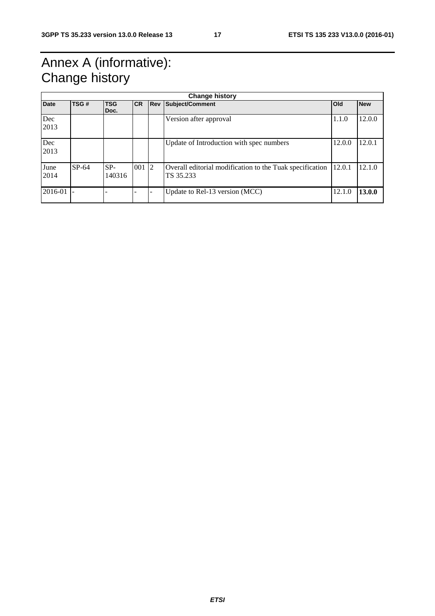## Annex A (informative): Change history

| <b>Change history</b> |         |                    |              |            |                                                                       |            |            |
|-----------------------|---------|--------------------|--------------|------------|-----------------------------------------------------------------------|------------|------------|
| <b>Date</b>           | TSG#    | <b>TSG</b><br>Doc. | <b>CR</b>    | <b>Rev</b> | Subject/Comment                                                       | <b>Old</b> | <b>New</b> |
| Dec<br>2013           |         |                    |              |            | Version after approval                                                | 1.1.0      | 12.0.0     |
| Dec<br>2013           |         |                    |              |            | Update of Introduction with spec numbers                              | 12.0.0     | 12.0.1     |
| June<br>2014          | $SP-64$ | $SP-$<br>140316    | $001 \,   2$ |            | Overall editorial modification to the Tuak specification<br>TS 35.233 | 12.0.1     | 12.1.0     |
| 2016-01               |         |                    |              |            | Update to Rel-13 version (MCC)                                        | 12.1.0     | 13.0.0     |